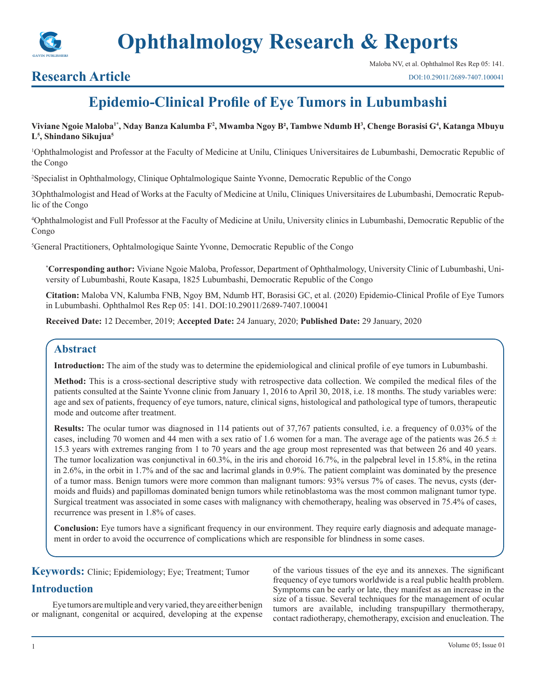

## **Research Article**

# **Epidemio-Clinical Profile of Eye Tumors in Lubumbashi**

#### **Viviane Ngoie Maloba1\*, Nday Banza Kalumba F<sup>2</sup> , Mwamba Ngoy B², Tambwe Ndumb H<sup>3</sup> , Chenge Borasisi G4 , Katanga Mbuyu L5 , Shindano Sikujua<sup>5</sup>**

1 Ophthalmologist and Professor at the Faculty of Medicine at Unilu, Cliniques Universitaires de Lubumbashi, Democratic Republic of the Congo

2 Specialist in Ophthalmology, Clinique Ophtalmologique Sainte Yvonne, Democratic Republic of the Congo

3Ophthalmologist and Head of Works at the Faculty of Medicine at Unilu, Cliniques Universitaires de Lubumbashi, Democratic Republic of the Congo

4 Ophthalmologist and Full Professor at the Faculty of Medicine at Unilu, University clinics in Lubumbashi, Democratic Republic of the Congo

5 General Practitioners, Ophtalmologique Sainte Yvonne, Democratic Republic of the Congo

**\* Corresponding author:** Viviane Ngoie Maloba, Professor, Department of Ophthalmology, University Clinic of Lubumbashi, University of Lubumbashi, Route Kasapa, 1825 Lubumbashi, Democratic Republic of the Congo

**Citation:** Maloba VN, Kalumba FNB, Ngoy BM, Ndumb HT, Borasisi GC, et al. (2020) Epidemio-Clinical Profile of Eye Tumors in Lubumbashi. Ophthalmol Res Rep 05: 141. DOI:10.29011/2689-7407.100041

**Received Date:** 12 December, 2019; **Accepted Date:** 24 January, 2020; **Published Date:** 29 January, 2020

## **Abstract**

**Introduction:** The aim of the study was to determine the epidemiological and clinical profile of eye tumors in Lubumbashi.

**Method:** This is a cross-sectional descriptive study with retrospective data collection. We compiled the medical files of the patients consulted at the Sainte Yvonne clinic from January 1, 2016 to April 30, 2018, i.e. 18 months. The study variables were: age and sex of patients, frequency of eye tumors, nature, clinical signs, histological and pathological type of tumors, therapeutic mode and outcome after treatment.

**Results:** The ocular tumor was diagnosed in 114 patients out of 37,767 patients consulted, i.e. a frequency of 0.03% of the cases, including 70 women and 44 men with a sex ratio of 1.6 women for a man. The average age of the patients was  $26.5 \pm$ 15.3 years with extremes ranging from 1 to 70 years and the age group most represented was that between 26 and 40 years. The tumor localization was conjunctival in 60.3%, in the iris and choroid 16.7%, in the palpebral level in 15.8%, in the retina in 2.6%, in the orbit in 1.7% and of the sac and lacrimal glands in 0.9%. The patient complaint was dominated by the presence of a tumor mass. Benign tumors were more common than malignant tumors: 93% versus 7% of cases. The nevus, cysts (dermoids and fluids) and papillomas dominated benign tumors while retinoblastoma was the most common malignant tumor type. Surgical treatment was associated in some cases with malignancy with chemotherapy, healing was observed in 75.4% of cases, recurrence was present in 1.8% of cases.

**Conclusion:** Eye tumors have a significant frequency in our environment. They require early diagnosis and adequate management in order to avoid the occurrence of complications which are responsible for blindness in some cases.

**Keywords:** Clinic; Epidemiology; Eye; Treatment; Tumor

## **Introduction**

Eye tumors are multiple and very varied, they are either benign or malignant, congenital or acquired, developing at the expense

of the various tissues of the eye and its annexes. The significant frequency of eye tumors worldwide is a real public health problem. Symptoms can be early or late, they manifest as an increase in the size of a tissue. Several techniques for the management of ocular tumors are available, including transpupillary thermotherapy, contact radiotherapy, chemotherapy, excision and enucleation. The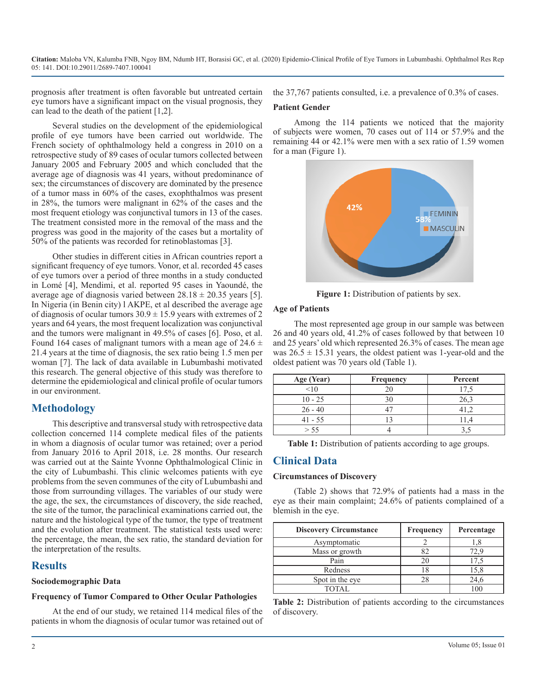prognosis after treatment is often favorable but untreated certain eye tumors have a significant impact on the visual prognosis, they can lead to the death of the patient [1,2].

Several studies on the development of the epidemiological profile of eye tumors have been carried out worldwide. The French society of ophthalmology held a congress in 2010 on a retrospective study of 89 cases of ocular tumors collected between January 2005 and February 2005 and which concluded that the average age of diagnosis was 41 years, without predominance of sex; the circumstances of discovery are dominated by the presence of a tumor mass in 60% of the cases, exophthalmos was present in 28%, the tumors were malignant in 62% of the cases and the most frequent etiology was conjunctival tumors in 13 of the cases. The treatment consisted more in the removal of the mass and the progress was good in the majority of the cases but a mortality of 50% of the patients was recorded for retinoblastomas [3].

Other studies in different cities in African countries report a significant frequency of eye tumors. Vonor, et al. recorded 45 cases of eye tumors over a period of three months in a study conducted in Lomé [4], Mendimi, et al. reported 95 cases in Yaoundé, the average age of diagnosis varied between  $28.18 \pm 20.35$  years [5]. In Nigeria (in Benin city) l AKPE, et al described the average age of diagnosis of ocular tumors  $30.9 \pm 15.9$  years with extremes of 2 years and 64 years, the most frequent localization was conjunctival and the tumors were malignant in 49.5% of cases [6]. Poso, et al. Found 164 cases of malignant tumors with a mean age of  $24.6 \pm$ 21.4 years at the time of diagnosis, the sex ratio being 1.5 men per woman [7]. The lack of data available in Lubumbashi motivated this research. The general objective of this study was therefore to determine the epidemiological and clinical profile of ocular tumors in our environment.

## **Methodology**

This descriptive and transversal study with retrospective data collection concerned 114 complete medical files of the patients in whom a diagnosis of ocular tumor was retained; over a period from January 2016 to April 2018, i.e. 28 months. Our research was carried out at the Sainte Yvonne Ophthalmological Clinic in the city of Lubumbashi. This clinic welcomes patients with eye problems from the seven communes of the city of Lubumbashi and those from surrounding villages. The variables of our study were the age, the sex, the circumstances of discovery, the side reached, the site of the tumor, the paraclinical examinations carried out, the nature and the histological type of the tumor, the type of treatment and the evolution after treatment. The statistical tests used were: the percentage, the mean, the sex ratio, the standard deviation for the interpretation of the results.

## **Results**

#### **Sociodemographic Data**

#### **Frequency of Tumor Compared to Other Ocular Pathologies**

At the end of our study, we retained 114 medical files of the patients in whom the diagnosis of ocular tumor was retained out of the 37,767 patients consulted, i.e. a prevalence of 0.3% of cases.

#### **Patient Gender**

Among the 114 patients we noticed that the majority of subjects were women, 70 cases out of 114 or 57.9% and the remaining 44 or 42.1% were men with a sex ratio of 1.59 women for a man (Figure 1).



**Figure 1:** Distribution of patients by sex.

#### **Age of Patients**

The most represented age group in our sample was between 26 and 40 years old, 41.2% of cases followed by that between 10 and 25 years' old which represented 26.3% of cases. The mean age was  $26.5 \pm 15.31$  years, the oldest patient was 1-year-old and the oldest patient was 70 years old (Table 1).

| Age (Year) | <b>Frequency</b> | Percent |
|------------|------------------|---------|
| <10        |                  | 17.5    |
| $10 - 25$  |                  | 26,3    |
| $26 - 40$  |                  |         |
| $41 - 55$  |                  |         |
| > 55       |                  |         |

**Table 1:** Distribution of patients according to age groups.

## **Clinical Data**

#### **Circumstances of Discovery**

(Table 2) shows that 72.9% of patients had a mass in the eye as their main complaint; 24.6% of patients complained of a blemish in the eye.

| <b>Discovery Circumstance</b> | Frequency | Percentage |
|-------------------------------|-----------|------------|
| Asymptomatic                  |           | .8         |
| Mass or growth                |           |            |
| Pain                          | 20        |            |
| Redness                       |           | 15,8       |
| Spot in the eye               |           | 24.6       |
| <b>TOTAL</b>                  |           |            |

**Table 2:** Distribution of patients according to the circumstances of discovery.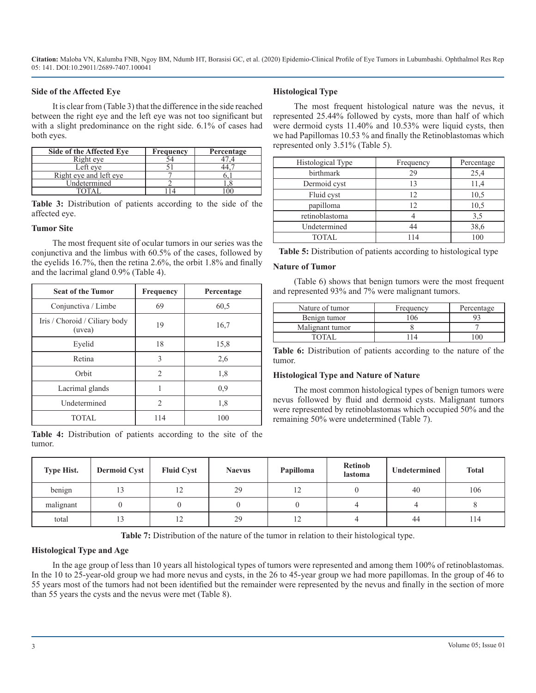#### **Side of the Affected Eye**

It is clear from (Table 3) that the difference in the side reached between the right eye and the left eye was not too significant but with a slight predominance on the right side. 6.1% of cases had both eyes.

| Side of the Affected Eve | Frequency | Percentage |
|--------------------------|-----------|------------|
| Right eve                |           |            |
| Left eve                 |           |            |
| Right eye and left eye   |           |            |
| Undetermined             |           |            |
|                          |           |            |

**Table 3:** Distribution of patients according to the side of the affected eye.

#### **Tumor Site**

The most frequent site of ocular tumors in our series was the conjunctiva and the limbus with 60.5% of the cases, followed by the eyelids 16.7%, then the retina 2.6%, the orbit 1.8% and finally and the lacrimal gland 0.9% (Table 4).

| <b>Seat of the Tumor</b>                | Frequency      | Percentage |
|-----------------------------------------|----------------|------------|
| Conjunctiva / Limbe                     | 69             | 60,5       |
| Iris / Choroid / Ciliary body<br>(uvea) | 19             | 16,7       |
| Eyelid                                  | 18             | 15,8       |
| Retina                                  | 3              | 2,6        |
| Orbit                                   | $\mathcal{D}$  | 1,8        |
| Lacrimal glands                         |                | 0.9        |
| Undetermined                            | $\mathfrak{D}$ | 1,8        |
| <b>TOTAL</b>                            | 114            | 100        |

**Table 4:** Distribution of patients according to the site of the tumor.

#### **Histological Type**

The most frequent histological nature was the nevus, it represented 25.44% followed by cysts, more than half of which were dermoid cysts 11.40% and 10.53% were liquid cysts, then we had Papillomas 10.53 % and finally the Retinoblastomas which represented only 3.51% (Table 5).

| Histological Type | Frequency | Percentage |  |
|-------------------|-----------|------------|--|
| birthmark         | 29        | 25,4       |  |
| Dermoid cyst      |           | 11,4       |  |
| Fluid cyst        | 12        | 10,5       |  |
| papilloma         | 12        | 10,5       |  |
| retinoblastoma    |           | 3,5        |  |
| Undetermined      |           | 38,6       |  |
| TOTAL.            |           | 100        |  |

#### **Nature of Tumor**

(Table 6) shows that benign tumors were the most frequent and represented 93% and 7% were malignant tumors.

| Nature of tumor | Frequency | Percentage |  |
|-----------------|-----------|------------|--|
| Benign tumor    | 106       |            |  |
| Malignant tumor |           |            |  |
| $\Gamma$ ota i  |           |            |  |

**Table 6:** Distribution of patients according to the nature of the tumor.

#### **Histological Type and Nature of Nature**

The most common histological types of benign tumors were nevus followed by fluid and dermoid cysts. Malignant tumors were represented by retinoblastomas which occupied 50% and the remaining 50% were undetermined (Table 7).

| <b>Type Hist.</b> | <b>Dermoid Cyst</b> | <b>Fluid Cyst</b> | <b>Naevus</b> | Papilloma | <b>Retinob</b><br>lastoma | Undetermined | <b>Total</b> |
|-------------------|---------------------|-------------------|---------------|-----------|---------------------------|--------------|--------------|
| benign            | 13                  | 12                | 29            | 12        |                           | 40           | 106          |
| malignant         |                     |                   |               |           |                           |              |              |
| total             | 13                  | $\overline{1}$    | 29            | 12        |                           | 44           | 114          |

**Table 7:** Distribution of the nature of the tumor in relation to their histological type.

#### **Histological Type and Age**

In the age group of less than 10 years all histological types of tumors were represented and among them 100% of retinoblastomas. In the 10 to 25-year-old group we had more nevus and cysts, in the 26 to 45-year group we had more papillomas. In the group of 46 to 55 years most of the tumors had not been identified but the remainder were represented by the nevus and finally in the section of more than 55 years the cysts and the nevus were met (Table 8).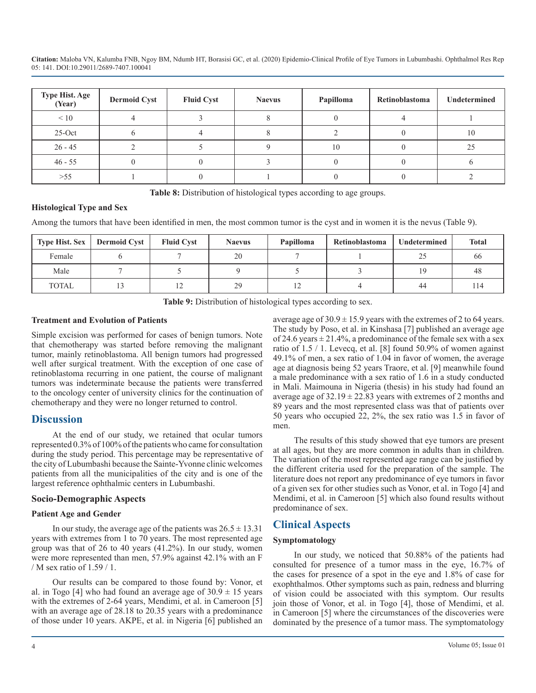| Type Hist. Age<br>(Year) | <b>Dermoid Cyst</b> | <b>Fluid Cyst</b> | <b>Naevus</b> | Papilloma | Retinoblastoma | Undetermined |
|--------------------------|---------------------|-------------------|---------------|-----------|----------------|--------------|
| $\leq 10$                |                     |                   |               |           |                |              |
| $25-Oct$                 |                     |                   |               |           |                | 10           |
| $26 - 45$                |                     |                   |               | 10        |                | 25           |
| $46 - 55$                |                     |                   |               |           |                |              |
| $>55$                    |                     |                   |               |           |                |              |

**Table 8:** Distribution of histological types according to age groups.

#### **Histological Type and Sex**

Among the tumors that have been identified in men, the most common tumor is the cyst and in women it is the nevus (Table 9).

| <b>Type Hist. Sex</b> | <b>Dermoid Cyst</b> | <b>Fluid Cyst</b> | <b>Naevus</b> | Papilloma | Retinoblastoma | Undetermined | Total |
|-----------------------|---------------------|-------------------|---------------|-----------|----------------|--------------|-------|
| Female                |                     |                   | 20            |           |                |              | 00    |
| Male                  |                     |                   |               |           |                | 1 Q          | 48    |
| TOTAL                 |                     |                   | 29            | ∸         |                | 44           |       |

**Table 9:** Distribution of histological types according to sex.

#### **Treatment and Evolution of Patients**

Simple excision was performed for cases of benign tumors. Note that chemotherapy was started before removing the malignant tumor, mainly retinoblastoma. All benign tumors had progressed well after surgical treatment. With the exception of one case of retinoblastoma recurring in one patient, the course of malignant tumors was indeterminate because the patients were transferred to the oncology center of university clinics for the continuation of chemotherapy and they were no longer returned to control.

## **Discussion**

At the end of our study, we retained that ocular tumors represented 0.3% of 100% of the patients who came for consultation during the study period. This percentage may be representative of the city of Lubumbashi because the Sainte-Yvonne clinic welcomes patients from all the municipalities of the city and is one of the largest reference ophthalmic centers in Lubumbashi.

#### **Socio-Demographic Aspects**

#### **Patient Age and Gender**

In our study, the average age of the patients was  $26.5 \pm 13.31$ years with extremes from 1 to 70 years. The most represented age group was that of 26 to 40 years (41.2%). In our study, women were more represented than men, 57.9% against 42.1% with an F / M sex ratio of 1.59 / 1.

Our results can be compared to those found by: Vonor, et al. in Togo [4] who had found an average age of  $30.9 \pm 15$  years with the extremes of 2-64 years, Mendimi, et al. in Cameroon [5] with an average age of 28.18 to 20.35 years with a predominance of those under 10 years. AKPE, et al. in Nigeria [6] published an average age of  $30.9 \pm 15.9$  years with the extremes of 2 to 64 years. The study by Poso, et al. in Kinshasa [7] published an average age of 24.6 years  $\pm$  21.4%, a predominance of the female sex with a sex ratio of 1.5 / 1. Levecq, et al. [8] found 50.9% of women against 49.1% of men, a sex ratio of 1.04 in favor of women, the average age at diagnosis being 52 years Traore, et al. [9] meanwhile found a male predominance with a sex ratio of 1.6 in a study conducted in Mali. Maimouna in Nigeria (thesis) in his study had found an average age of  $32.19 \pm 22.83$  years with extremes of 2 months and 89 years and the most represented class was that of patients over 50 years who occupied 22, 2%, the sex ratio was 1.5 in favor of men.

The results of this study showed that eye tumors are present at all ages, but they are more common in adults than in children. The variation of the most represented age range can be justified by the different criteria used for the preparation of the sample. The literature does not report any predominance of eye tumors in favor of a given sex for other studies such as Vonor, et al. in Togo [4] and Mendimi, et al. in Cameroon [5] which also found results without predominance of sex.

## **Clinical Aspects**

#### **Symptomatology**

In our study, we noticed that 50.88% of the patients had consulted for presence of a tumor mass in the eye, 16.7% of the cases for presence of a spot in the eye and 1.8% of case for exophthalmos. Other symptoms such as pain, redness and blurring of vision could be associated with this symptom. Our results join those of Vonor, et al. in Togo [4], those of Mendimi, et al. in Cameroon [5] where the circumstances of the discoveries were dominated by the presence of a tumor mass. The symptomatology